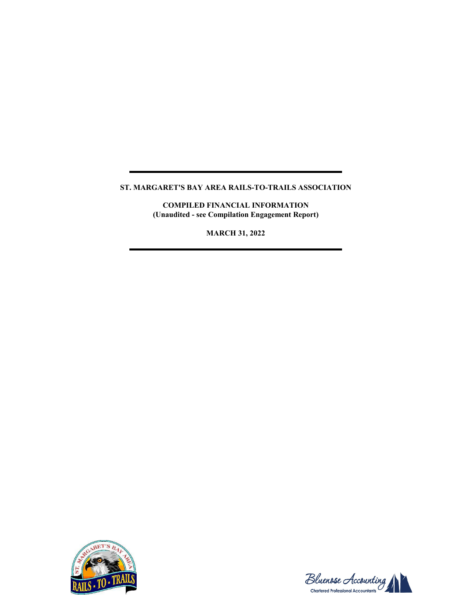**COMPILED FINANCIAL INFORMATION (Unaudited - see Compilation Engagement Report)**

**MARCH 31, 2022**



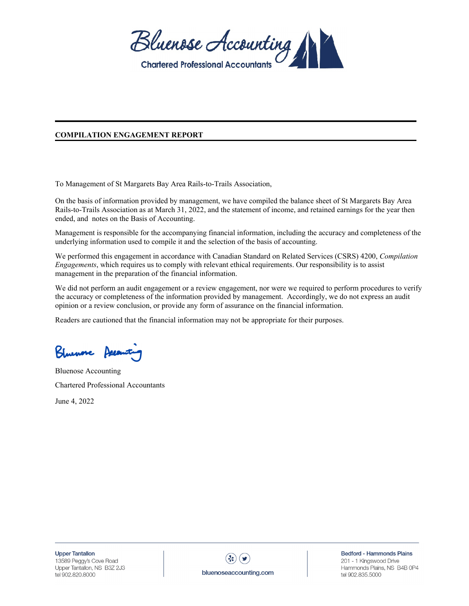

#### **COMPILATION ENGAGEMENT REPORT**

To Management of St Margarets Bay Area Rails-to-Trails Association,

On the basis of information provided by management, we have compiled the balance sheet of St Margarets Bay Area Rails-to-Trails Association as at March 31, 2022, and the statement of income, and retained earnings for the year then ended, and notes on the Basis of Accounting.

Management is responsible for the accompanying financial information, including the accuracy and completeness of the underlying information used to compile it and the selection of the basis of accounting.

We performed this engagement in accordance with Canadian Standard on Related Services (CSRS) 4200, *Compilation Engagements*, which requires us to comply with relevant ethical requirements. Our responsibility is to assist management in the preparation of the financial information.

We did not perform an audit engagement or a review engagement, nor were we required to perform procedures to verify the accuracy or completeness of the information provided by management. Accordingly, we do not express an audit opinion or a review conclusion, or provide any form of assurance on the financial information.

Readers are cautioned that the financial information may not be appropriate for their purposes.

Shunove Asea

Bluenose Accounting Chartered Professional Accountants

June 4, 2022



Bedford - Hammonds Plains 201 - 1 Kingswood Drive Hammonds Plains, NS B4B 0P4 tel 902.835.5000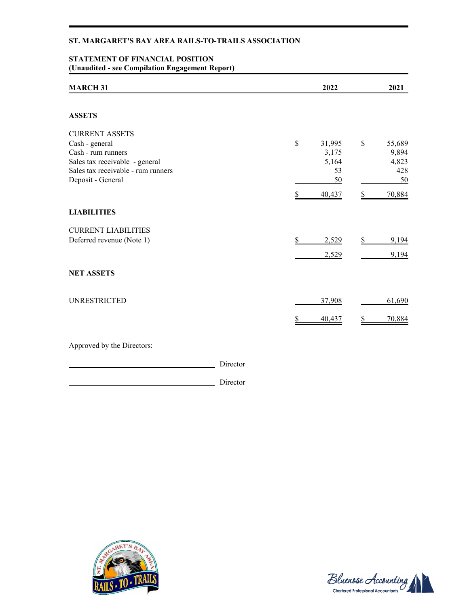# **STATEMENT OF FINANCIAL POSITION (Unaudited - see Compilation Engagement Report)**

| <b>MARCH 31</b>                    | 2022                   | 2021         |
|------------------------------------|------------------------|--------------|
| <b>ASSETS</b>                      |                        |              |
| <b>CURRENT ASSETS</b>              |                        |              |
| Cash - general                     | $\mathbb{S}$<br>31,995 | \$<br>55,689 |
| Cash - rum runners                 | 3,175                  | 9,894        |
| Sales tax receivable - general     | 5,164                  | 4,823        |
| Sales tax receivable - rum runners | 53                     | 428          |
| Deposit - General                  | 50                     | 50           |
|                                    | 40,437                 | 70,884       |
| <b>LIABILITIES</b>                 |                        |              |
| <b>CURRENT LIABILITIES</b>         |                        |              |
| Deferred revenue (Note 1)          | \$<br>2,529            | \$<br>9,194  |
|                                    | 2,529                  | 9,194        |
| <b>NET ASSETS</b>                  |                        |              |
| <b>UNRESTRICTED</b>                | 37,908                 | 61,690       |
|                                    | 40,437                 | 70,884       |
| Approved by the Directors:         |                        |              |

Director

Director



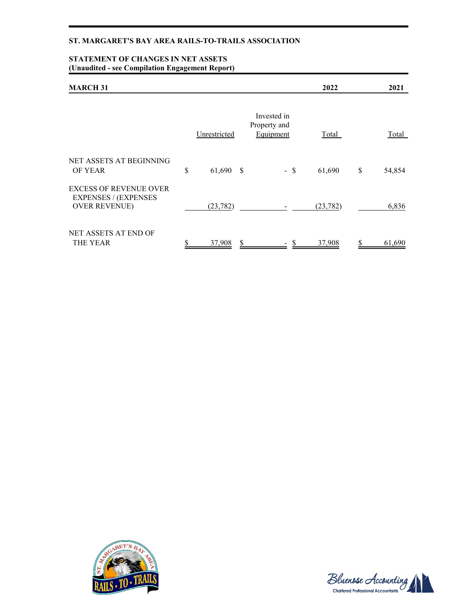### **STATEMENT OF CHANGES IN NET ASSETS (Unaudited - see Compilation Engagement Report)**

| <b>MARCH 31</b>                                                                      |                   |   |                                          | 2022         | 2021         |
|--------------------------------------------------------------------------------------|-------------------|---|------------------------------------------|--------------|--------------|
|                                                                                      | Unrestricted      |   | Invested in<br>Property and<br>Equipment | <b>Total</b> | <b>Total</b> |
| NET ASSETS AT BEGINNING<br>OF YEAR                                                   | \$<br>$61,690$ \$ |   | $-$ \$                                   | 61,690       | \$<br>54,854 |
| <b>EXCESS OF REVENUE OVER</b><br><b>EXPENSES / (EXPENSES</b><br><b>OVER REVENUE)</b> | (23, 782)         |   |                                          | (23, 782)    | 6,836        |
| NET ASSETS AT END OF<br><b>THE YEAR</b>                                              | 37,908            | S |                                          | 37,908       | 61,690       |



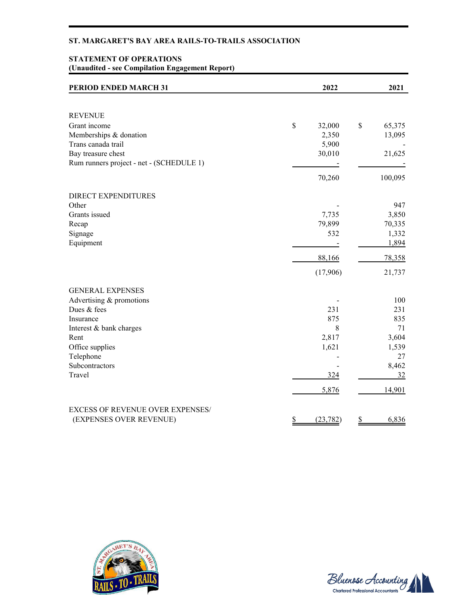# **STATEMENT OF OPERATIONS (Unaudited - see Compilation Engagement Report)**

| PERIOD ENDED MARCH 31                    | 2022            | 2021         |
|------------------------------------------|-----------------|--------------|
|                                          |                 |              |
| <b>REVENUE</b>                           |                 |              |
| Grant income                             | \$<br>32,000    | \$<br>65,375 |
| Memberships & donation                   | 2,350           | 13,095       |
| Trans canada trail                       | 5,900           |              |
| Bay treasure chest                       | 30,010          | 21,625       |
| Rum runners project - net - (SCHEDULE 1) |                 |              |
|                                          | 70,260          | 100,095      |
| <b>DIRECT EXPENDITURES</b>               |                 |              |
| Other                                    |                 | 947          |
| Grants issued                            | 7,735           | 3,850        |
| Recap                                    | 79,899          | 70,335       |
| Signage                                  | 532             | 1,332        |
| Equipment                                |                 | 1,894        |
|                                          | 88,166          | 78,358       |
|                                          | (17,906)        | 21,737       |
| <b>GENERAL EXPENSES</b>                  |                 |              |
| Advertising & promotions                 |                 | 100          |
| Dues & fees                              | 231             | 231          |
| Insurance                                | 875             | 835          |
| Interest & bank charges                  | 8               | 71           |
| Rent                                     | 2,817           | 3,604        |
| Office supplies                          | 1,621           | 1,539        |
| Telephone                                |                 | 27           |
| Subcontractors                           |                 | 8,462        |
| Travel                                   | 324             | 32           |
|                                          | 5,876           | 14,901       |
| <b>EXCESS OF REVENUE OVER EXPENSES/</b>  |                 |              |
| (EXPENSES OVER REVENUE)                  | \$<br>(23, 782) | \$<br>6,836  |



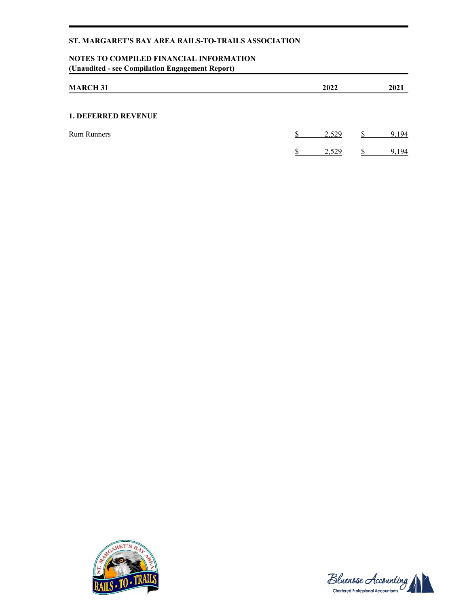# **NOTES TO COMPILED FINANCIAL INFORMATION (Unaudited - see Compilation Engagement Report)**

| <b>MARCH 31</b>            |  | 2022  | 2021 |
|----------------------------|--|-------|------|
| <b>1. DEFERRED REVENUE</b> |  |       |      |
| <b>Rum Runners</b>         |  | 2,529 | 194  |
|                            |  | 2,529 | .194 |